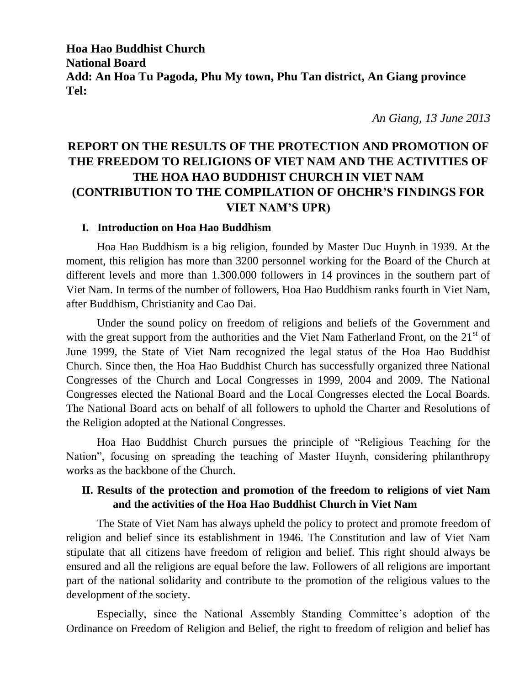**Hoa Hao Buddhist Church National Board Add: An Hoa Tu Pagoda, Phu My town, Phu Tan district, An Giang province Tel:** 

*An Giang, 13 June 2013*

# **REPORT ON THE RESULTS OF THE PROTECTION AND PROMOTION OF THE FREEDOM TO RELIGIONS OF VIET NAM AND THE ACTIVITIES OF THE HOA HAO BUDDHIST CHURCH IN VIET NAM (CONTRIBUTION TO THE COMPILATION OF OHCHR'S FINDINGS FOR VIET NAM'S UPR)**

#### **I. Introduction on Hoa Hao Buddhism**

Hoa Hao Buddhism is a big religion, founded by Master Duc Huynh in 1939. At the moment, this religion has more than 3200 personnel working for the Board of the Church at different levels and more than 1.300.000 followers in 14 provinces in the southern part of Viet Nam. In terms of the number of followers, Hoa Hao Buddhism ranks fourth in Viet Nam, after Buddhism, Christianity and Cao Dai.

Under the sound policy on freedom of religions and beliefs of the Government and with the great support from the authorities and the Viet Nam Fatherland Front, on the  $21<sup>st</sup>$  of June 1999, the State of Viet Nam recognized the legal status of the Hoa Hao Buddhist Church. Since then, the Hoa Hao Buddhist Church has successfully organized three National Congresses of the Church and Local Congresses in 1999, 2004 and 2009. The National Congresses elected the National Board and the Local Congresses elected the Local Boards. The National Board acts on behalf of all followers to uphold the Charter and Resolutions of the Religion adopted at the National Congresses.

Hoa Hao Buddhist Church pursues the principle of "Religious Teaching for the Nation", focusing on spreading the teaching of Master Huynh, considering philanthropy works as the backbone of the Church.

## **II. Results of the protection and promotion of the freedom to religions of viet Nam and the activities of the Hoa Hao Buddhist Church in Viet Nam**

The State of Viet Nam has always upheld the policy to protect and promote freedom of religion and belief since its establishment in 1946. The Constitution and law of Viet Nam stipulate that all citizens have freedom of religion and belief. This right should always be ensured and all the religions are equal before the law. Followers of all religions are important part of the national solidarity and contribute to the promotion of the religious values to the development of the society.

Especially, since the National Assembly Standing Committee's adoption of the Ordinance on Freedom of Religion and Belief, the right to freedom of religion and belief has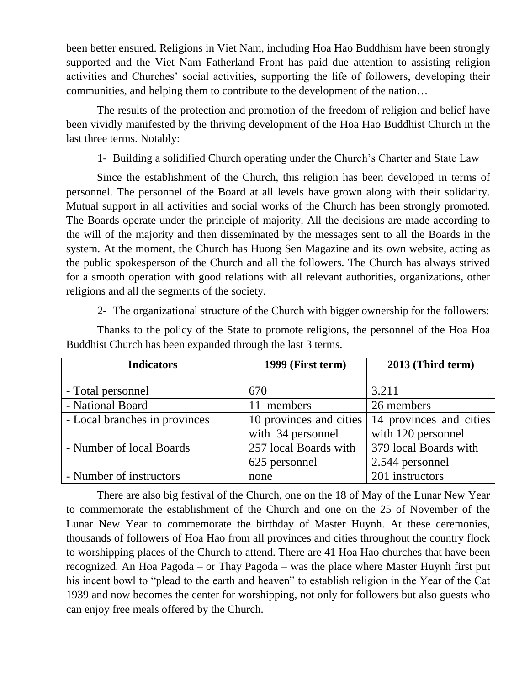been better ensured. Religions in Viet Nam, including Hoa Hao Buddhism have been strongly supported and the Viet Nam Fatherland Front has paid due attention to assisting religion activities and Churches' social activities, supporting the life of followers, developing their communities, and helping them to contribute to the development of the nation…

The results of the protection and promotion of the freedom of religion and belief have been vividly manifested by the thriving development of the Hoa Hao Buddhist Church in the last three terms. Notably:

1- Building a solidified Church operating under the Church's Charter and State Law

Since the establishment of the Church, this religion has been developed in terms of personnel. The personnel of the Board at all levels have grown along with their solidarity. Mutual support in all activities and social works of the Church has been strongly promoted. The Boards operate under the principle of majority. All the decisions are made according to the will of the majority and then disseminated by the messages sent to all the Boards in the system. At the moment, the Church has Huong Sen Magazine and its own website, acting as the public spokesperson of the Church and all the followers. The Church has always strived for a smooth operation with good relations with all relevant authorities, organizations, other religions and all the segments of the society.

2- The organizational structure of the Church with bigger ownership for the followers:

| <b>Indicators</b>             | 1999 (First term)       | 2013 (Third term)       |
|-------------------------------|-------------------------|-------------------------|
| - Total personnel             | 670                     | 3.211                   |
| - National Board              | members<br>11           | 26 members              |
| - Local branches in provinces | 10 provinces and cities | 14 provinces and cities |
|                               | with 34 personnel       | with 120 personnel      |
| - Number of local Boards      | 257 local Boards with   | 379 local Boards with   |
|                               | 625 personnel           | 2.544 personnel         |
| - Number of instructors       | none                    | 201 instructors         |

Thanks to the policy of the State to promote religions, the personnel of the Hoa Hoa Buddhist Church has been expanded through the last 3 terms.

There are also big festival of the Church, one on the 18 of May of the Lunar New Year to commemorate the establishment of the Church and one on the 25 of November of the Lunar New Year to commemorate the birthday of Master Huynh. At these ceremonies, thousands of followers of Hoa Hao from all provinces and cities throughout the country flock to worshipping places of the Church to attend. There are 41 Hoa Hao churches that have been recognized. An Hoa Pagoda – or Thay Pagoda – was the place where Master Huynh first put his incent bowl to "plead to the earth and heaven" to establish religion in the Year of the Cat 1939 and now becomes the center for worshipping, not only for followers but also guests who can enjoy free meals offered by the Church.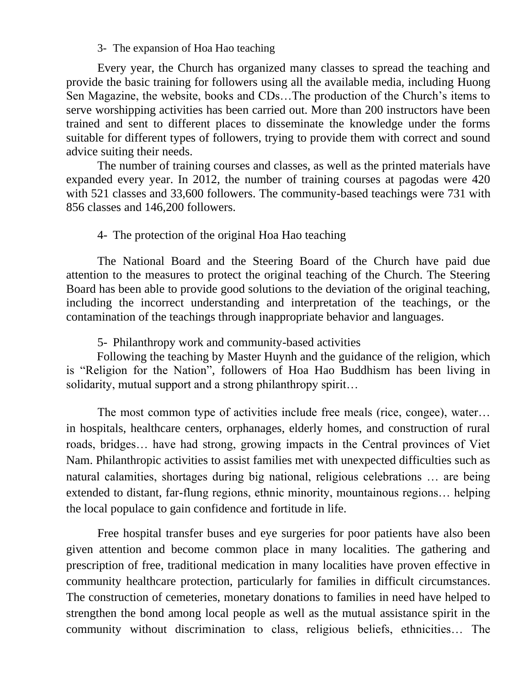#### 3- The expansion of Hoa Hao teaching

Every year, the Church has organized many classes to spread the teaching and provide the basic training for followers using all the available media, including Huong Sen Magazine, the website, books and CDs…The production of the Church's items to serve worshipping activities has been carried out. More than 200 instructors have been trained and sent to different places to disseminate the knowledge under the forms suitable for different types of followers, trying to provide them with correct and sound advice suiting their needs.

The number of training courses and classes, as well as the printed materials have expanded every year. In 2012, the number of training courses at pagodas were 420 with 521 classes and 33,600 followers. The community-based teachings were 731 with 856 classes and 146,200 followers.

## 4- The protection of the original Hoa Hao teaching

The National Board and the Steering Board of the Church have paid due attention to the measures to protect the original teaching of the Church. The Steering Board has been able to provide good solutions to the deviation of the original teaching, including the incorrect understanding and interpretation of the teachings, or the contamination of the teachings through inappropriate behavior and languages.

5- Philanthropy work and community-based activities

Following the teaching by Master Huynh and the guidance of the religion, which is "Religion for the Nation", followers of Hoa Hao Buddhism has been living in solidarity, mutual support and a strong philanthropy spirit...

The most common type of activities include free meals (rice, congee), water… in hospitals, healthcare centers, orphanages, elderly homes, and construction of rural roads, bridges… have had strong, growing impacts in the Central provinces of Viet Nam. Philanthropic activities to assist families met with unexpected difficulties such as natural calamities, shortages during big national, religious celebrations … are being extended to distant, far-flung regions, ethnic minority, mountainous regions… helping the local populace to gain confidence and fortitude in life.

Free hospital transfer buses and eye surgeries for poor patients have also been given attention and become common place in many localities. The gathering and prescription of free, traditional medication in many localities have proven effective in community healthcare protection, particularly for families in difficult circumstances. The construction of cemeteries, monetary donations to families in need have helped to strengthen the bond among local people as well as the mutual assistance spirit in the community without discrimination to class, religious beliefs, ethnicities… The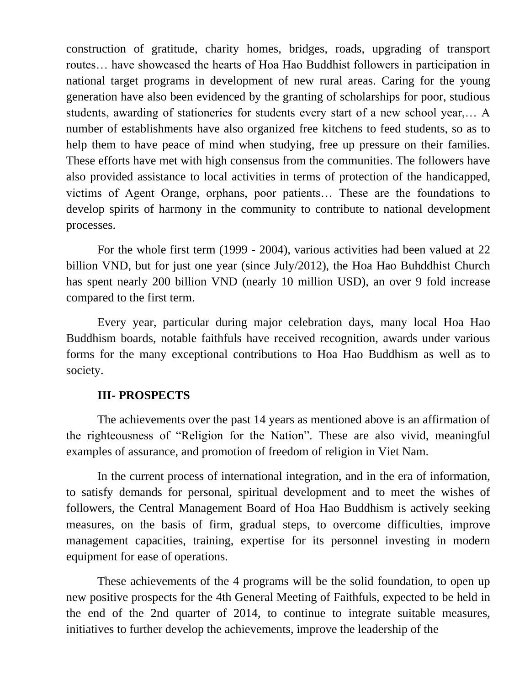construction of gratitude, charity homes, bridges, roads, upgrading of transport routes… have showcased the hearts of Hoa Hao Buddhist followers in participation in national target programs in development of new rural areas. Caring for the young generation have also been evidenced by the granting of scholarships for poor, studious students, awarding of stationeries for students every start of a new school year,… A number of establishments have also organized free kitchens to feed students, so as to help them to have peace of mind when studying, free up pressure on their families. These efforts have met with high consensus from the communities. The followers have also provided assistance to local activities in terms of protection of the handicapped, victims of Agent Orange, orphans, poor patients… These are the foundations to develop spirits of harmony in the community to contribute to national development processes.

For the whole first term (1999 - 2004), various activities had been valued at 22 billion VND, but for just one year (since July/2012), the Hoa Hao Buhddhist Church has spent nearly 200 billion VND (nearly 10 million USD), an over 9 fold increase compared to the first term.

Every year, particular during major celebration days, many local Hoa Hao Buddhism boards, notable faithfuls have received recognition, awards under various forms for the many exceptional contributions to Hoa Hao Buddhism as well as to society.

## **III- PROSPECTS**

The achievements over the past 14 years as mentioned above is an affirmation of the righteousness of "Religion for the Nation". These are also vivid, meaningful examples of assurance, and promotion of freedom of religion in Viet Nam.

In the current process of international integration, and in the era of information, to satisfy demands for personal, spiritual development and to meet the wishes of followers, the Central Management Board of Hoa Hao Buddhism is actively seeking measures, on the basis of firm, gradual steps, to overcome difficulties, improve management capacities, training, expertise for its personnel investing in modern equipment for ease of operations.

These achievements of the 4 programs will be the solid foundation, to open up new positive prospects for the 4th General Meeting of Faithfuls, expected to be held in the end of the 2nd quarter of 2014, to continue to integrate suitable measures, initiatives to further develop the achievements, improve the leadership of the